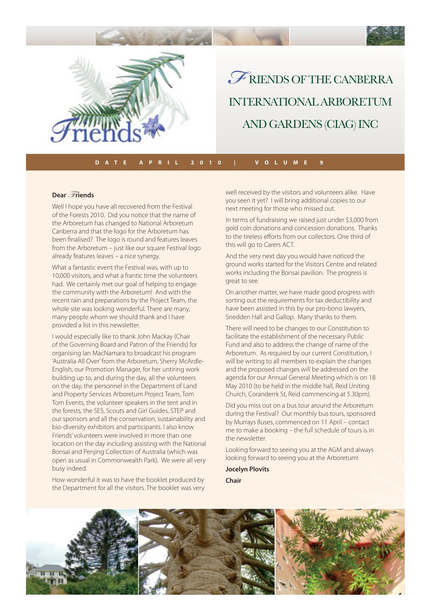

*F* RIENDS OF THE CANBERRA INTERNATIONAL ARBORETUM AND GARDENS (CIAG) INC

**DATE APRIL 2010 | VOLUME 9**

#### **Dear** *Friends*

Well I hope you have all recovered from the Festival of the Forests 2010. Did you notice that the name of the Arboretum has changed to National Arboretum Canberra and that the logo for the Arboretum has been finalised? The logo is round and features leaves from the Arboretum – just like our square Festival logo already features leaves – a nice synergy.

What a fantastic event the Festival was, with up to 10,000 visitors, and what a frantic time the volunteers had. We certainly met our goal of helping to engage the community with the Arboretum! And with the recent rain and preparations by the Project Team, the whole site was looking wonderful. There are many, many people whom we should thank and I have provided a list in this newsletter.

I would especially like to thank John Mackay (Chair of the Governing Board and Patron of the Friends) for organising Ian MacNamara to broadcast his program 'Australia All Over' from the Arboretum, Sherry McArdle-English, our Promotion Manager, for her untiring work building up to, and during the day, all the volunteers on the day, the personnel in the Department of Land and Property Services Arboretum Project Team, Tom Tom Events, the volunteer speakers in the tent and in the forests, the SES, Scouts and Girl Guides, STEP and our sponsors and all the conservation, sustainability and bio-diversity exhibitors and participants. I also know Friends' volunteers were involved in more than one location on the day including assisting with the National Bonsai and Penjing Collection of Australia (which was open as usual in Commonwealth Park). We were all very busy indeed.

How wonderful it was to have the booklet produced by the Department for all the visitors. The booklet was very well received by the visitors and volunteers alike. Have you seen it yet? I will bring additional copies to our next meeting for those who missed out.

In terms of fundraising we raised just under \$3,000 from gold coin donations and concession donations. Thanks to the tireless efforts from our collectors. One third of this will go to Carers ACT.

And the very next day you would have noticed the ground works started for the Visitors Centre and related works including the Bonsai pavilion. The progress is great to see.

On another matter, we have made good progress with sorting out the requirements for tax deductibility and have been assisted in this by our pro-bono lawyers, Snedden Hall and Gallop. Many thanks to them.

There will need to be changes to our Constitution to facilitate the establishment of the necessary Public Fund and also to address the change of name of the Arboretum. As required by our current Constitution, I will be writing to all members to explain the changes and the proposed changes will be addressed on the agenda for our Annual General Meeting which is on 18 May 2010 (to be held in the middle hall, Reid Uniting Church, Coranderrk St, Reid commencing at 5.30pm).

Did you miss out on a bus tour around the Arboretum during the Festival? Our monthly bus tours, sponsored by Murrays Buses, commenced on 11 April – contact me to make a booking – the full schedule of tours is in the newsletter.

Looking forward to seeing you at the AGM and always me to make a booking – the full schedule of tour<br>the newsletter.<br>Looking forward to seeing you at the AGM and a<br>looking forward to seeing you at the Arboretum!

**Jocelyn Plovits sChair**

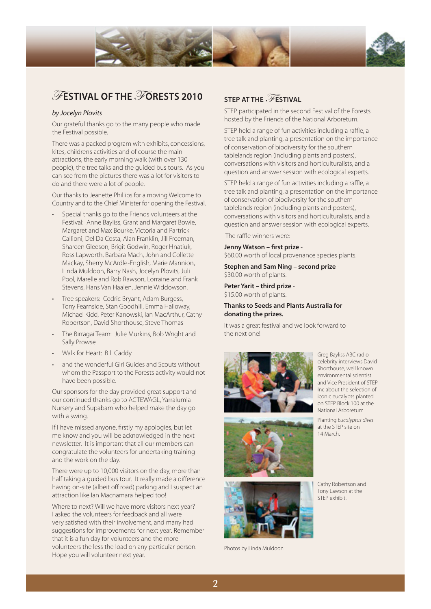

# $\mathscr{F}$ ESTIVAL OF THE  $\mathscr{F}$ ORESTS 2010

#### by Jocelyn Plovits

Our grateful thanks go to the many people who made the Festival possible.

There was a packed program with exhibits, concessions, kites, childrens activities and of course the main attractions, the early morning walk (with over 130 people), the tree talks and the guided bus tours. As you can see from the pictures there was a lot for visitors to do and there were a lot of people.

Our thanks to Jeanette Phillips for a moving Welcome to Country and to the Chief Minister for opening the Festival.

- Special thanks go to the Friends volunteers at the Festival: Anne Bayliss, Grant and Margaret Bowie, Margaret and Max Bourke, Victoria and Partrick Callioni, Del Da Costa, Alan Franklin, Jill Freeman, Shareen Gleeson, Brigit Godwin, Roger Hnatiuk, Ross Lapworth, Barbara Mach, John and Collette Mackay, Sherry McArdle-English, Marie Mannion, Linda Muldoon, Barry Nash, Jocelyn Plovits, Juli Pool, Marelle and Rob Rawson, Lorraine and Frank Stevens, Hans Van Haalen, Jennie Widdowson.
- Tree speakers: Cedric Bryant, Adam Burgess, Tony Fearnside, Stan Goodhill, Emma Halloway, Michael Kidd, Peter Kanowski, Ian MacArthur, Cathy Robertson, David Shorthouse, Steve Thomas
- The Birragai Team: Julie Murkins, Bob Wright and Sally Prowse
- Walk for Heart: Bill Caddy
- and the wonderful Girl Guides and Scouts without whom the Passport to the Forests activity would not have been possible.

Our sponsors for the day provided great support and our continued thanks go to ACTEWAGL, Yarralumla Nursery and Supabarn who helped make the day go with a swing.

If I have missed anyone, firstly my apologies, but let me know and you will be acknowledged in the next newsletter. It is important that all our members can congratulate the volunteers for undertaking training and the work on the day.

There were up to 10,000 visitors on the day, more than half taking a guided bus tour. It really made a difference having on-site (albeit off road) parking and I suspect an attraction like Ian Macnamara helped too!

Where to next? Will we have more visitors next year? I asked the volunteers for feedback and all were very satisfied with their involvement, and many had suggestions for improvements for next year. Remember that it is a fun day for volunteers and the more volunteers the less the load on any particular person. Hope you will volunteer next year.

## **STEP AT THE FESTIVAL**

STEP participated in the second Festival of the Forests hosted by the Friends of the National Arboretum.

STEP held a range of fun activities including a raffle, a tree talk and planting, a presentation on the importance of conservation of biodiversity for the southern tablelands region (including plants and posters), conversations with visitors and horticulturalists, and a question and answer session with ecological experts.

STEP held a range of fun activities including a raffle, a tree talk and planting, a presentation on the importance of conservation of biodiversity for the southern tablelands region (including plants and posters), conversations with visitors and horticulturalists, and a question and answer session with ecological experts.

The raffle winners were:

Jenny Watson - first prize -\$60.00 worth of local provenance species plants.

**Stephen and Sam Ning – second prize** - \$30.00 worth of plants.

**Peter Yarit – third prize** - \$15.00 worth of plants.

#### **Thanks to Seeds and Plants Australia for donating the prizes.**

It was a great festival and we look forward to the next one!



Greg Bayliss ABC radio celebrity interviews David Shorthouse, well known environmental scientist and Vice President of STEP Inc about the selection of iconic eucalypts planted on STEP Block 100 at the National Arboretum

Planting Eucalyptus dives at the STEP site on 14 March.





Photos by Linda Muldoon

Cathy Robertson and Tony Lawson at the STEP exhibit.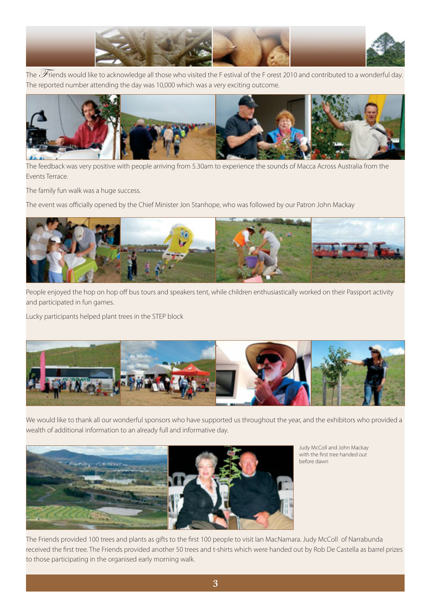

The  $\mathscr F$ riends would like to acknowledge all those who visited the F estival of the F orest 2010 and contributed to a wonderful day. The reported number attending the day was 10,000 which was a very exciting outcome.



The feedback was very positive with people arriving from 5.30am to experience the sounds of Macca Across Australia from the Events Terrace.

The family fun walk was a huge success.

The event was officially opened by the Chief Minister Jon Stanhope, who was followed by our Patron John Mackay



People enjoyed the hop on hop off bus tours and speakers tent, while children enthusiastically worked on their Passport activity and participated in fun games.

Lucky participants helped plant trees in the STEP block



We would like to thank all our wonderful sponsors who have supported us throughout the year, and the exhibitors who provided a wealth of additional information to an already full and informative day.



Judy McColl and John Mackay with the first tree handed out before dawn

The Friends provided 100 trees and plants as gifts to the first 100 people to visit Ian MacNamara. Judy McColl of Narrabunda received the first tree. The Friends provided another 50 trees and t-shirts which were handed out by Rob De Castella as barrel prizes to those participating in the organised early morning walk.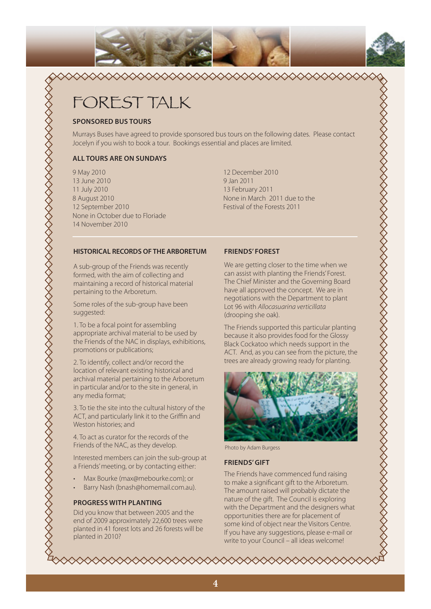

# FOREST TALK

#### **SPONSORED BUS TOURS**

Murrays Buses have agreed to provide sponsored bus tours on the following dates. Please contact Jocelyn if you wish to book a tour. Bookings essential and places are limited.

 $\begin{picture}(100,100) \put(0,0){\vector(1,0){10}} \put(0,0){\vector(1,0){10}} \put(0,0){\vector(1,0){10}} \put(0,0){\vector(1,0){10}} \put(0,0){\vector(1,0){10}} \put(0,0){\vector(1,0){10}} \put(0,0){\vector(1,0){10}} \put(0,0){\vector(1,0){10}} \put(0,0){\vector(1,0){10}} \put(0,0){\vector(1,0){10}} \put(0,0){\vector(1,0){10}} \put(0,0){\vector(1,0){10}} \put($ 

#### **ALL TOURS ARE ON SUNDAYS**

9 May 2010 13 June 2010 11 July 2010 8 August 2010 12 September 2010 None in October due to Floriade 14 November 2010

12 December 2010 9 Jan 2011 13 February 2011 None in March 2011 due to the Festival of the Forests 2011

#### **HISTORICAL RECORDS OF THE ARBORETUM**

A sub-group of the Friends was recently formed, with the aim of collecting and maintaining a record of historical material pertaining to the Arboretum.

Some roles of the sub-group have been suggested:

1. To be a focal point for assembling appropriate archival material to be used by the Friends of the NAC in displays, exhibitions, promotions or publications;

2. To identify, collect and/or record the location of relevant existing historical and archival material pertaining to the Arboretum in particular and/or to the site in general, in any media format;

3. To tie the site into the cultural history of the ACT, and particularly link it to the Griffin and Weston histories; and

4. To act as curator for the records of the Friends of the NAC, as they develop.

Interested members can join the sub-group at a Friends' meeting, or by contacting either:

- Max Bourke (max@mebourke.com); or
- Barry Nash (bnash@homemail.com.au).

#### **PROGRESS WITH PLANTING**

Did you know that between 2005 and the end of 2009 approximately 22,600 trees were planted in 41 forest lots and 26 forests will be planted in 2010?

#### **FRIENDS' FOREST**

We are getting closer to the time when we can assist with planting the Friends' Forest. The Chief Minister and the Governing Board have all approved the concept. We are in negotiations with the Department to plant Lot 96 with Allocasuarina verticillata (drooping she oak).

The Friends supported this particular planting because it also provides food for the Glossy Black Cockatoo which needs support in the ACT. And, as you can see from the picture, the trees are already growing ready for planting.



Photo by Adam Burgess

#### **FRIENDS' GIFT**

The Friends have commenced fund raising to make a significant gift to the Arboretum. The amount raised will probably dictate the nature of the gift. The Council is exploring with the Department and the designers what opportunities there are for placement of some kind of object near the Visitors Centre. If you have any suggestions, please e-mail or write to your Council – all ideas welcome!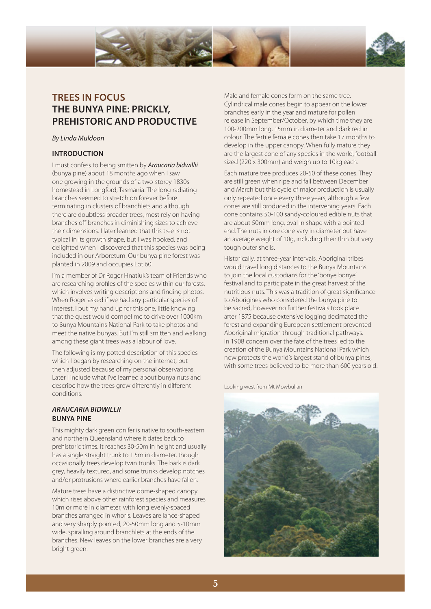

# **TREES IN FOCUS THE BUNYA PINE: PRICKLY, PREHISTORIC AND PRODUCTIVE**

#### By Linda Muldoon

#### **INTRODUCTION**

I must confess to being smitten by **Araucaria bidwillii** (bunya pine) about 18 months ago when I saw one growing in the grounds of a two-storey 1830s homestead in Longford, Tasmania. The long radiating branches seemed to stretch on forever before terminating in clusters of branchlets and although there are doubtless broader trees, most rely on having branches off branches in diminishing sizes to achieve their dimensions. I later learned that this tree is not typical in its growth shape, but I was hooked, and delighted when I discovered that this species was being included in our Arboretum. Our bunya pine forest was planted in 2009 and occupies Lot 60.

I'm a member of Dr Roger Hnatiuk's team of Friends who are researching profiles of the species within our forests, which involves writing descriptions and finding photos. When Roger asked if we had any particular species of interest, I put my hand up for this one, little knowing that the quest would compel me to drive over 1000km to Bunya Mountains National Park to take photos and meet the native bunyas. But I'm still smitten and walking among these giant trees was a labour of love.

The following is my potted description of this species which I began by researching on the internet, but then adjusted because of my personal observations. Later I include what I've learned about bunya nuts and describe how the trees grow differently in different conditions.

#### *ARAUCARIA BIDWILLII* **BUNYA PINE**

This mighty dark green conifer is native to south-eastern and northern Queensland where it dates back to prehistoric times. It reaches 30-50m in height and usually has a single straight trunk to 1.5m in diameter, though occasionally trees develop twin trunks. The bark is dark grey, heavily textured, and some trunks develop notches and/or protrusions where earlier branches have fallen.

Mature trees have a distinctive dome-shaped canopy which rises above other rainforest species and measures 10m or more in diameter, with long evenly-spaced branches arranged in whorls. Leaves are lance-shaped and very sharply pointed, 20-50mm long and 5-10mm wide, spiralling around branchlets at the ends of the branches. New leaves on the lower branches are a very bright green.

Male and female cones form on the same tree. Cylindrical male cones begin to appear on the lower branches early in the year and mature for pollen release in September/October, by which time they are 100-200mm long, 15mm in diameter and dark red in colour. The fertile female cones then take 17 months to develop in the upper canopy. When fully mature they are the largest cone of any species in the world, footballsized (220 x 300mm) and weigh up to 10kg each.

Each mature tree produces 20-50 of these cones. They are still green when ripe and fall between December and March but this cycle of major production is usually only repeated once every three years, although a few cones are still produced in the intervening years. Each cone contains 50-100 sandy-coloured edible nuts that are about 50mm long, oval in shape with a pointed end. The nuts in one cone vary in diameter but have an average weight of 10g, including their thin but very tough outer shells.

Historically, at three-year intervals, Aboriginal tribes would travel long distances to the Bunya Mountains to join the local custodians for the 'bonye bonye' festival and to participate in the great harvest of the nutritious nuts. This was a tradition of great significance to Aborigines who considered the bunya pine to be sacred, however no further festivals took place after 1875 because extensive logging decimated the forest and expanding European settlement prevented Aboriginal migration through traditional pathways. In 1908 concern over the fate of the trees led to the creation of the Bunya Mountains National Park which now protects the world's largest stand of bunya pines, with some trees believed to be more than 600 years old.

Looking west from Mt Mowbullan

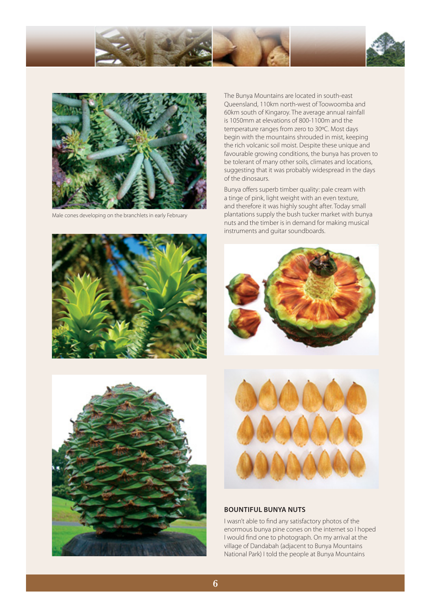



Male cones developing on the branchlets in early February

The Bunya Mountains are located in south-east Queensland, 110km north-west of Toowoomba and 60km south of Kingaroy. The average annual rainfall is 1050mm at elevations of 800-1100m and the temperature ranges from zero to 30ºC. Most days begin with the mountains shrouded in mist, keeping the rich volcanic soil moist. Despite these unique and favourable growing conditions, the bunya has proven to be tolerant of many other soils, climates and locations, suggesting that it was probably widespread in the days of the dinosaurs.

Bunya offers superb timber quality: pale cream with a tinge of pink, light weight with an even texture, and therefore it was highly sought after. Today small plantations supply the bush tucker market with bunya nuts and the timber is in demand for making musical instruments and guitar soundboards.









#### **BOUNTIFUL BUNYA NUTS**

I wasn't able to find any satisfactory photos of the enormous bunya pine cones on the internet so I hoped I would find one to photograph. On my arrival at the village of Dandabah (adjacent to Bunya Mountains National Park) I told the people at Bunya Mountains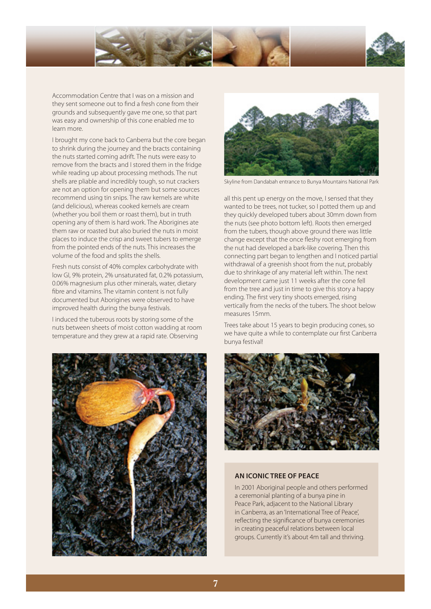

Accommodation Centre that I was on a mission and they sent someone out to find a fresh cone from their grounds and subsequently gave me one, so that part was easy and ownership of this cone enabled me to learn more.

I brought my cone back to Canberra but the core began to shrink during the journey and the bracts containing the nuts started coming adrift. The nuts were easy to remove from the bracts and I stored them in the fridge while reading up about processing methods. The nut shells are pliable and incredibly tough, so nut crackers are not an option for opening them but some sources recommend using tin snips. The raw kernels are white (and delicious), whereas cooked kernels are cream (whether you boil them or roast them), but in truth opening any of them is hard work. The Aborigines ate them raw or roasted but also buried the nuts in moist places to induce the crisp and sweet tubers to emerge from the pointed ends of the nuts. This increases the volume of the food and splits the shells.

Fresh nuts consist of 40% complex carbohydrate with low GI, 9% protein, 2% unsaturated fat, 0.2% potassium, 0.06% magnesium plus other minerals, water, dietary fibre and vitamins. The vitamin content is not fully documented but Aborigines were observed to have improved health during the bunya festivals.

I induced the tuberous roots by storing some of the nuts between sheets of moist cotton wadding at room temperature and they grew at a rapid rate. Observing





Skyline from Dandabah entrance to Bunya Mountains National Park

all this pent up energy on the move, I sensed that they wanted to be trees, not tucker, so I potted them up and they quickly developed tubers about 30mm down from the nuts (see photo bottom left). Roots then emerged from the tubers, though above ground there was little change except that the once fleshy root emerging from the nut had developed a bark-like covering. Then this connecting part began to lengthen and I noticed partial withdrawal of a greenish shoot from the nut, probably due to shrinkage of any material left within. The next development came just 11 weeks after the cone fell from the tree and just in time to give this story a happy ending. The first very tiny shoots emerged, rising vertically from the necks of the tubers. The shoot below measures 15mm.

Trees take about 15 years to begin producing cones, so we have quite a while to contemplate our first Canberra bunya festival!



#### **AN ICONIC TREE OF PEACE**

In 2001 Aboriginal people and others performed a ceremonial planting of a bunya pine in Peace Park, adjacent to the National Library in Canberra, as an 'International Tree of Peace', reflecting the significance of bunya ceremonies in creating peaceful relations between local groups. Currently it's about 4m tall and thriving.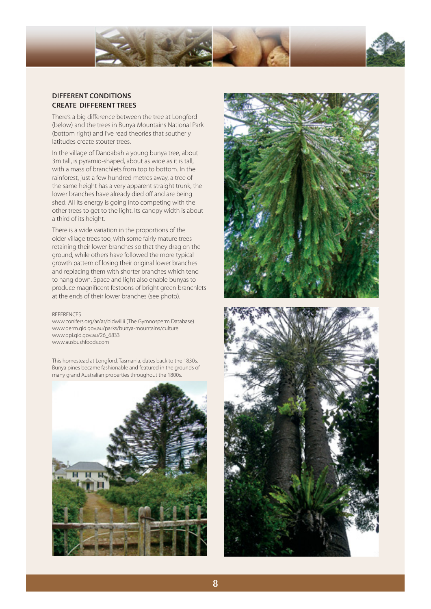

#### **DIFFERENT CONDITIONS CREATE DIFFERENT TREES**

There's a big difference between the tree at Longford (below) and the trees in Bunya Mountains National Park (bottom right) and I've read theories that southerly latitudes create stouter trees.

In the village of Dandabah a young bunya tree, about 3m tall, is pyramid-shaped, about as wide as it is tall, with a mass of branchlets from top to bottom. In the rainforest, just a few hundred metres away, a tree of the same height has a very apparent straight trunk, the lower branches have already died off and are being shed. All its energy is going into competing with the other trees to get to the light. Its canopy width is about a third of its height.

There is a wide variation in the proportions of the older village trees too, with some fairly mature trees retaining their lower branches so that they drag on the ground, while others have followed the more typical growth pattern of losing their original lower branches and replacing them with shorter branches which tend to hang down. Space and light also enable bunyas to produce magnificent festoons of bright green branchlets at the ends of their lower branches (see photo).

#### **REFERENCES**

www.conifers.org/ar/ar/bidwillii (The Gymnosperm Database) www.derm.qld.gov.au/parks/bunya-mountains/culture www.dpi.qld.gov.au/26\_6833 www.ausbushfoods.com

This homestead at Longford, Tasmania, dates back to the 1830s. Bunya pines became fashionable and featured in the grounds of many grand Australian properties throughout the 1800s.





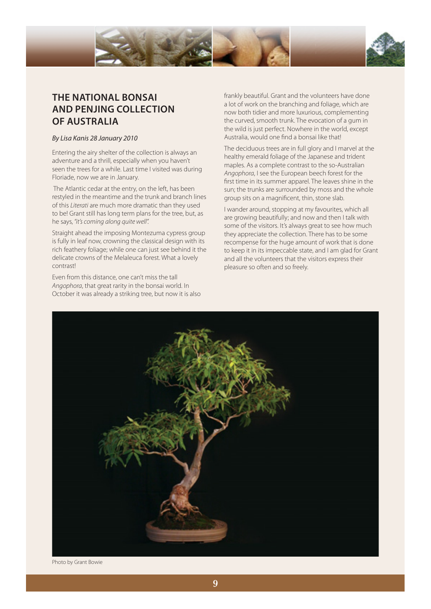

# **THE NATIONAL BONSAI AND PENJING COLLECTION OF AUSTRALIA**

#### By Lisa Kanis 28 January 2010

Entering the airy shelter of the collection is always an adventure and a thrill, especially when you haven't seen the trees for a while. Last time I visited was during Floriade, now we are in January.

 The Atlantic cedar at the entry, on the left, has been restyled in the meantime and the trunk and branch lines of this Literati are much more dramatic than they used to be! Grant still has long term plans for the tree, but, as he says, "it's coming along quite well".

Straight ahead the imposing Montezuma cypress group is fully in leaf now, crowning the classical design with its rich feathery foliage; while one can just see behind it the delicate crowns of the Melaleuca forest. What a lovely contrast!

Even from this distance, one can't miss the tall Angophora, that great rarity in the bonsai world. In October it was already a striking tree, but now it is also frankly beautiful. Grant and the volunteers have done a lot of work on the branching and foliage, which are now both tidier and more luxurious, complementing the curved, smooth trunk. The evocation of a gum in the wild is just perfect. Nowhere in the world, except Australia, would one find a bonsai like that!

The deciduous trees are in full glory and I marvel at the healthy emerald foliage of the Japanese and trident maples. As a complete contrast to the so-Australian Angophora, I see the European beech forest for the first time in its summer apparel. The leaves shine in the sun; the trunks are surrounded by moss and the whole group sits on a magnificent, thin, stone slab.

I wander around, stopping at my favourites, which all are growing beautifully; and now and then I talk with some of the visitors. It's always great to see how much they appreciate the collection. There has to be some recompense for the huge amount of work that is done to keep it in its impeccable state, and I am glad for Grant and all the volunteers that the visitors express their pleasure so often and so freely.



Photo by Grant Bowie